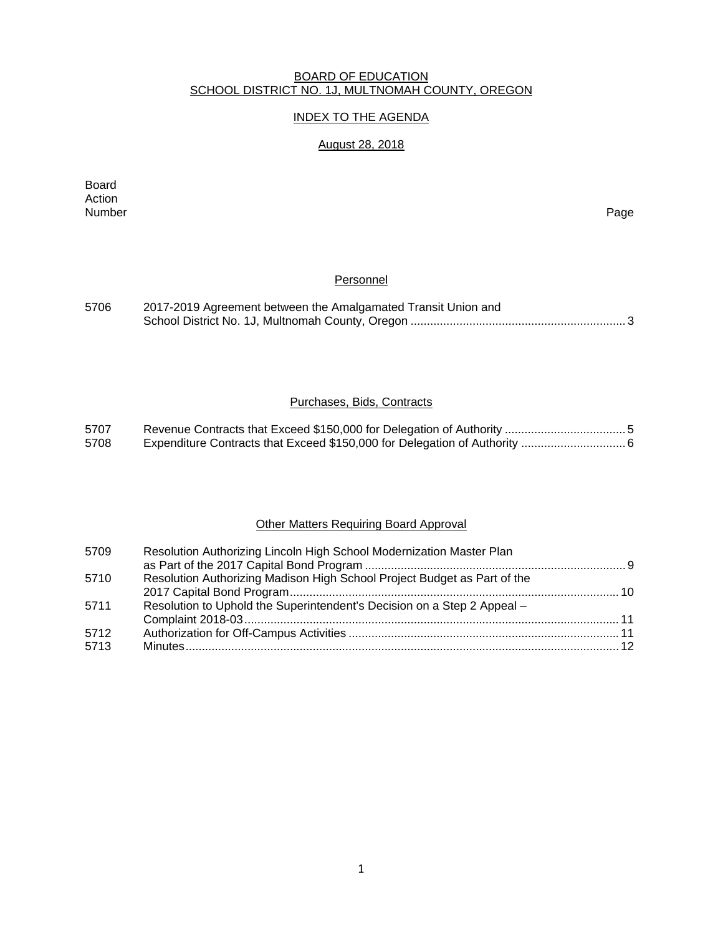#### BOARD OF EDUCATION SCHOOL DISTRICT NO. 1J, MULTNOMAH COUNTY, OREGON

## INDEX TO THE AGENDA

# August 28, 2018

Board Action<br>Number Number Page

## Personnel

| 5706 | 2017-2019 Agreement between the Amalgamated Transit Union and |  |  |  |  |
|------|---------------------------------------------------------------|--|--|--|--|
|      |                                                               |  |  |  |  |

## Purchases, Bids, Contracts

| 5707 |  |
|------|--|
| 5708 |  |

## Other Matters Requiring Board Approval

| 5709 | Resolution Authorizing Lincoln High School Modernization Master Plan     |  |
|------|--------------------------------------------------------------------------|--|
|      |                                                                          |  |
| 5710 | Resolution Authorizing Madison High School Project Budget as Part of the |  |
|      |                                                                          |  |
| 5711 | Resolution to Uphold the Superintendent's Decision on a Step 2 Appeal -  |  |
|      |                                                                          |  |
| 5712 |                                                                          |  |
| 5713 |                                                                          |  |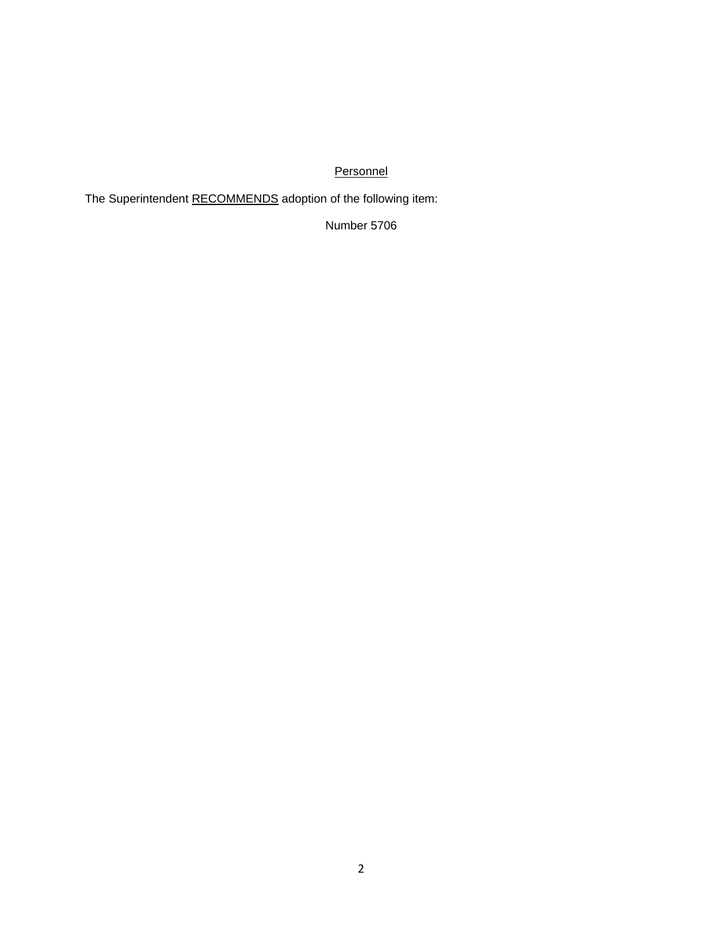# **Personnel**

The Superintendent RECOMMENDS adoption of the following item:

Number 5706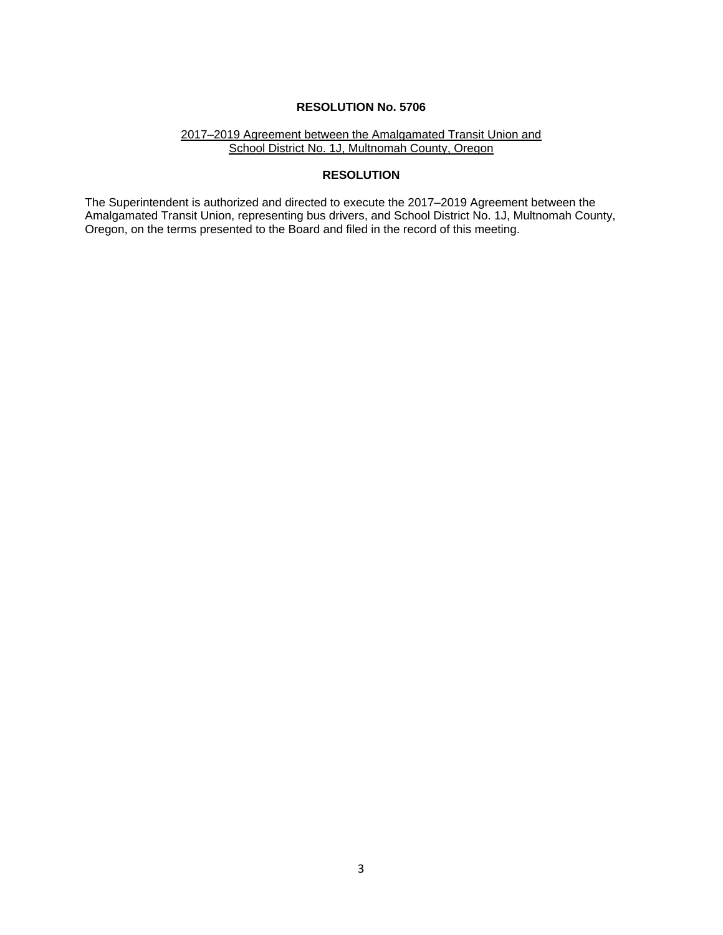#### 2017–2019 Agreement between the Amalgamated Transit Union and School District No. 1J, Multnomah County, Oregon

## **RESOLUTION**

The Superintendent is authorized and directed to execute the 2017–2019 Agreement between the Amalgamated Transit Union, representing bus drivers, and School District No. 1J, Multnomah County, Oregon, on the terms presented to the Board and filed in the record of this meeting.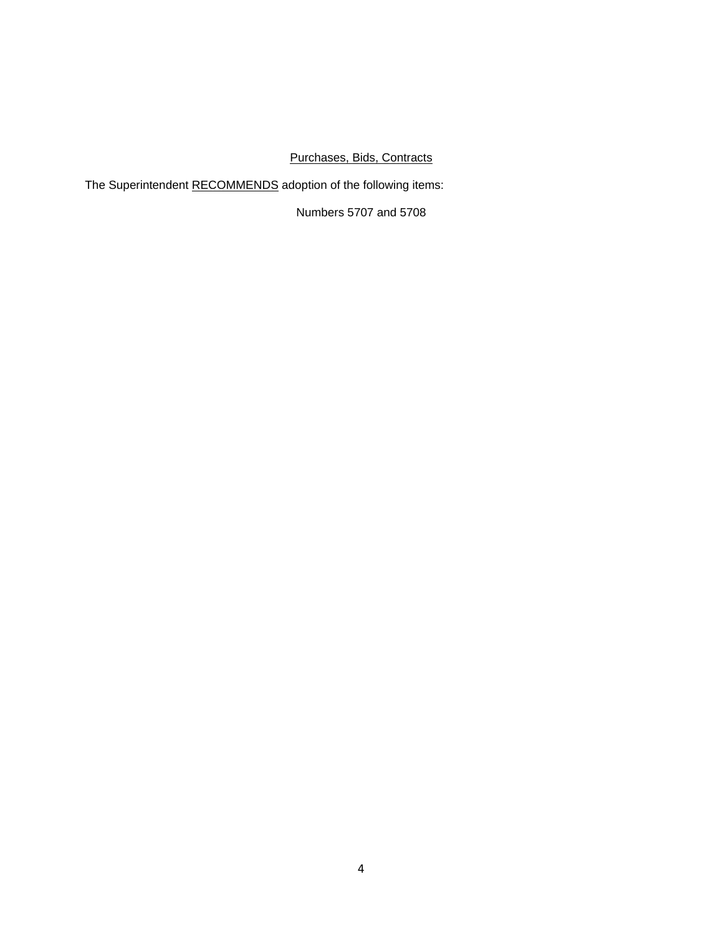# Purchases, Bids, Contracts

The Superintendent RECOMMENDS adoption of the following items:

Numbers 5707 and 5708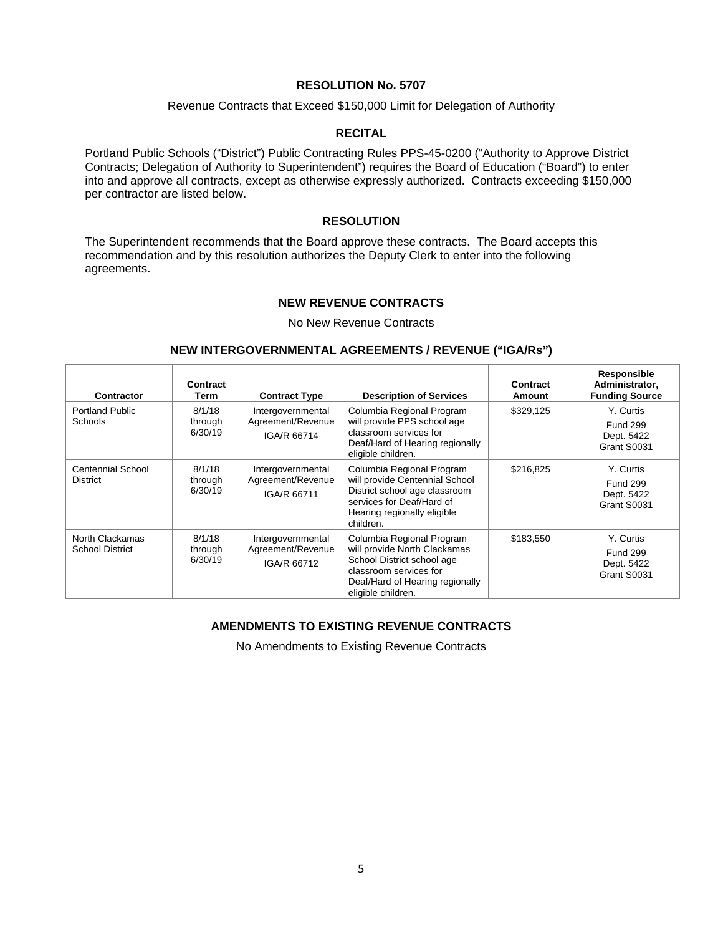#### Revenue Contracts that Exceed \$150,000 Limit for Delegation of Authority

## **RECITAL**

Portland Public Schools ("District") Public Contracting Rules PPS-45-0200 ("Authority to Approve District Contracts; Delegation of Authority to Superintendent") requires the Board of Education ("Board") to enter into and approve all contracts, except as otherwise expressly authorized. Contracts exceeding \$150,000 per contractor are listed below.

#### **RESOLUTION**

The Superintendent recommends that the Board approve these contracts. The Board accepts this recommendation and by this resolution authorizes the Deputy Clerk to enter into the following agreements.

#### **NEW REVENUE CONTRACTS**

No New Revenue Contracts

## **NEW INTERGOVERNMENTAL AGREEMENTS / REVENUE ("IGA/Rs")**

| Contractor                                                                | Contract<br>Term             | <b>Contract Type</b>                                  | <b>Description of Services</b>                                                                                                                                             | Contract<br>Amount | Responsible<br>Administrator,<br><b>Funding Source</b>    |
|---------------------------------------------------------------------------|------------------------------|-------------------------------------------------------|----------------------------------------------------------------------------------------------------------------------------------------------------------------------------|--------------------|-----------------------------------------------------------|
| Portland Public<br>Schools                                                | 8/1/18<br>through<br>6/30/19 | Intergovernmental<br>Agreement/Revenue<br>IGA/R 66714 | Columbia Regional Program<br>will provide PPS school age<br>classroom services for<br>Deaf/Hard of Hearing regionally<br>eligible children.                                | \$329,125          | Y. Curtis<br><b>Fund 299</b><br>Dept. 5422<br>Grant S0031 |
| <b>Centennial School</b><br><b>District</b>                               | 8/1/18<br>through<br>6/30/19 | Intergovernmental<br>Agreement/Revenue<br>IGA/R 66711 | Columbia Regional Program<br>will provide Centennial School<br>District school age classroom<br>services for Deaf/Hard of<br>Hearing regionally eligible<br>children.      | \$216.825          | Y. Curtis<br><b>Fund 299</b><br>Dept. 5422<br>Grant S0031 |
| 8/1/18<br>North Clackamas<br><b>School District</b><br>through<br>6/30/19 |                              | Intergovernmental<br>Agreement/Revenue<br>IGA/R 66712 | Columbia Regional Program<br>will provide North Clackamas<br>School District school age<br>classroom services for<br>Deaf/Hard of Hearing regionally<br>eligible children. | \$183.550          | Y. Curtis<br><b>Fund 299</b><br>Dept. 5422<br>Grant S0031 |

## **AMENDMENTS TO EXISTING REVENUE CONTRACTS**

No Amendments to Existing Revenue Contracts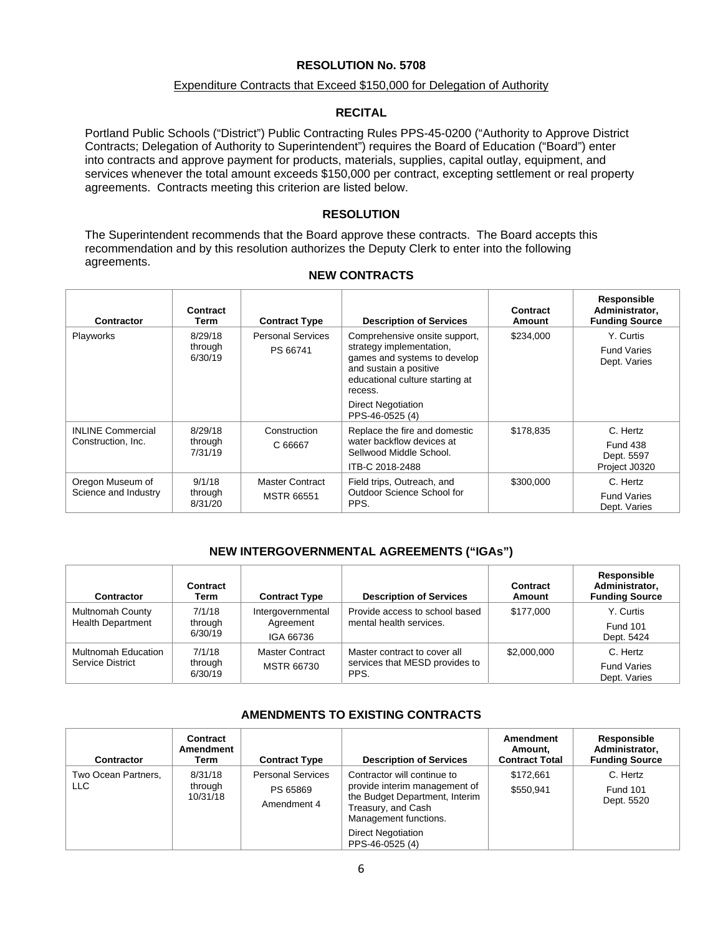#### Expenditure Contracts that Exceed \$150,000 for Delegation of Authority

#### **RECITAL**

Portland Public Schools ("District") Public Contracting Rules PPS-45-0200 ("Authority to Approve District Contracts; Delegation of Authority to Superintendent") requires the Board of Education ("Board") enter into contracts and approve payment for products, materials, supplies, capital outlay, equipment, and services whenever the total amount exceeds \$150,000 per contract, excepting settlement or real property agreements. Contracts meeting this criterion are listed below.

#### **RESOLUTION**

The Superintendent recommends that the Board approve these contracts. The Board accepts this recommendation and by this resolution authorizes the Deputy Clerk to enter into the following agreements.

| Contractor                                     | Contract<br>Term              | <b>Contract Type</b>                 | <b>Description of Services</b>                                                                                                                                    | Contract<br>Amount | Responsible<br>Administrator,<br><b>Funding Source</b>     |
|------------------------------------------------|-------------------------------|--------------------------------------|-------------------------------------------------------------------------------------------------------------------------------------------------------------------|--------------------|------------------------------------------------------------|
| Playworks                                      | 8/29/18<br>through<br>6/30/19 | <b>Personal Services</b><br>PS 66741 | Comprehensive onsite support,<br>strategy implementation,<br>games and systems to develop<br>and sustain a positive<br>educational culture starting at<br>recess. | \$234,000          | Y. Curtis<br><b>Fund Varies</b><br>Dept. Varies            |
|                                                |                               |                                      | Direct Negotiation<br>PPS-46-0525 (4)                                                                                                                             |                    |                                                            |
| <b>INLINE Commercial</b><br>Construction, Inc. | 8/29/18<br>through<br>7/31/19 | Construction<br>C 66667              | Replace the fire and domestic<br>water backflow devices at<br>Sellwood Middle School.<br>ITB-C 2018-2488                                                          | \$178,835          | C. Hertz<br><b>Fund 438</b><br>Dept. 5597<br>Project J0320 |
| Oregon Museum of<br>Science and Industry       | 9/1/18<br>through<br>8/31/20  | Master Contract<br><b>MSTR 66551</b> | Field trips, Outreach, and<br>Outdoor Science School for<br>PPS.                                                                                                  | \$300,000          | C. Hertz<br><b>Fund Varies</b><br>Dept. Varies             |

#### **NEW CONTRACTS**

#### **NEW INTERGOVERNMENTAL AGREEMENTS ("IGAs")**

| <b>Contractor</b>                                   | Contract<br>Term             | <b>Contract Type</b>                        | <b>Description of Services</b>                                         | Contract<br>Amount | Responsible<br>Administrator.<br><b>Funding Source</b> |
|-----------------------------------------------------|------------------------------|---------------------------------------------|------------------------------------------------------------------------|--------------------|--------------------------------------------------------|
| <b>Multnomah County</b><br><b>Health Department</b> | 7/1/18<br>through<br>6/30/19 | Intergovernmental<br>Agreement<br>IGA 66736 | Provide access to school based<br>mental health services.              | \$177,000          | Y. Curtis<br><b>Fund 101</b><br>Dept. 5424             |
| Multnomah Education<br>Service District             | 7/1/18<br>through<br>6/30/19 | <b>Master Contract</b><br><b>MSTR 66730</b> | Master contract to cover all<br>services that MESD provides to<br>PPS. | \$2,000,000        | C. Hertz<br><b>Fund Varies</b><br>Dept. Varies         |

## **AMENDMENTS TO EXISTING CONTRACTS**

| <b>Contractor</b>          | Contract<br>Amendment<br>Term  | <b>Contract Type</b>                                | <b>Description of Services</b>                                                                                                                | Amendment<br>Amount.<br><b>Contract Total</b> | Responsible<br>Administrator.<br><b>Funding Source</b> |
|----------------------------|--------------------------------|-----------------------------------------------------|-----------------------------------------------------------------------------------------------------------------------------------------------|-----------------------------------------------|--------------------------------------------------------|
| Two Ocean Partners.<br>LLC | 8/31/18<br>through<br>10/31/18 | <b>Personal Services</b><br>PS 65869<br>Amendment 4 | Contractor will continue to<br>provide interim management of<br>the Budget Department, Interim<br>Treasury, and Cash<br>Management functions. | \$172.661<br>\$550.941                        | C. Hertz<br><b>Fund 101</b><br>Dept. 5520              |
|                            |                                |                                                     | <b>Direct Negotiation</b><br>PPS-46-0525 (4)                                                                                                  |                                               |                                                        |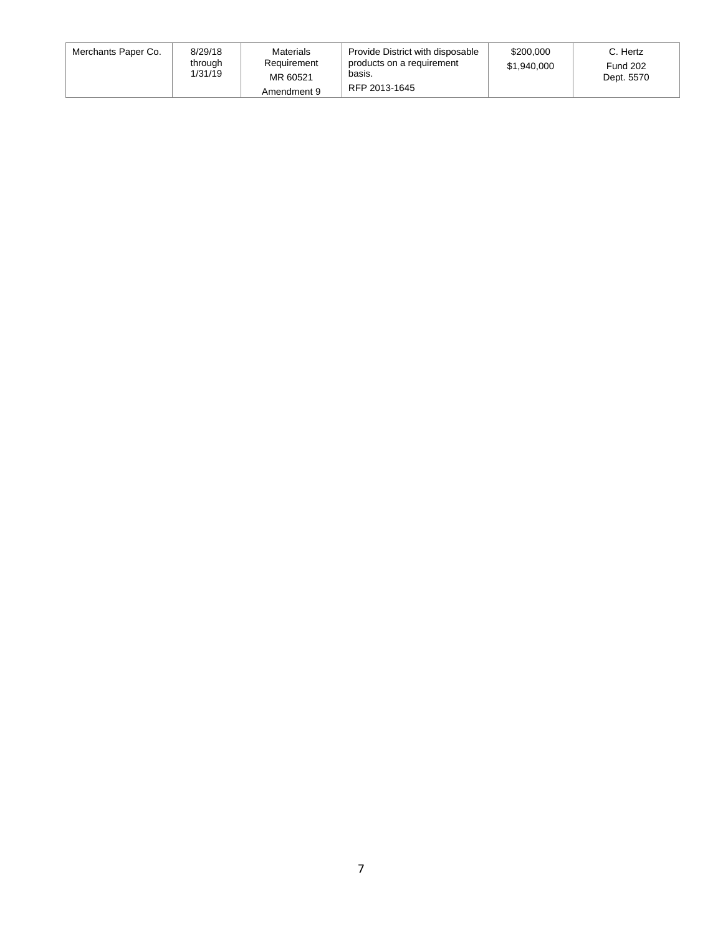| Merchants Paper Co. | 8/29/18<br>through<br>1/31/19 | Materials<br>Requirement<br>MR 60521<br>Amendment 9 | Provide District with disposable<br>products on a requirement<br>basis.<br>RFP 2013-1645 | \$200,000<br>\$1,940,000 | C. Hertz<br><b>Fund 202</b><br>Dept. 5570 |
|---------------------|-------------------------------|-----------------------------------------------------|------------------------------------------------------------------------------------------|--------------------------|-------------------------------------------|
|---------------------|-------------------------------|-----------------------------------------------------|------------------------------------------------------------------------------------------|--------------------------|-------------------------------------------|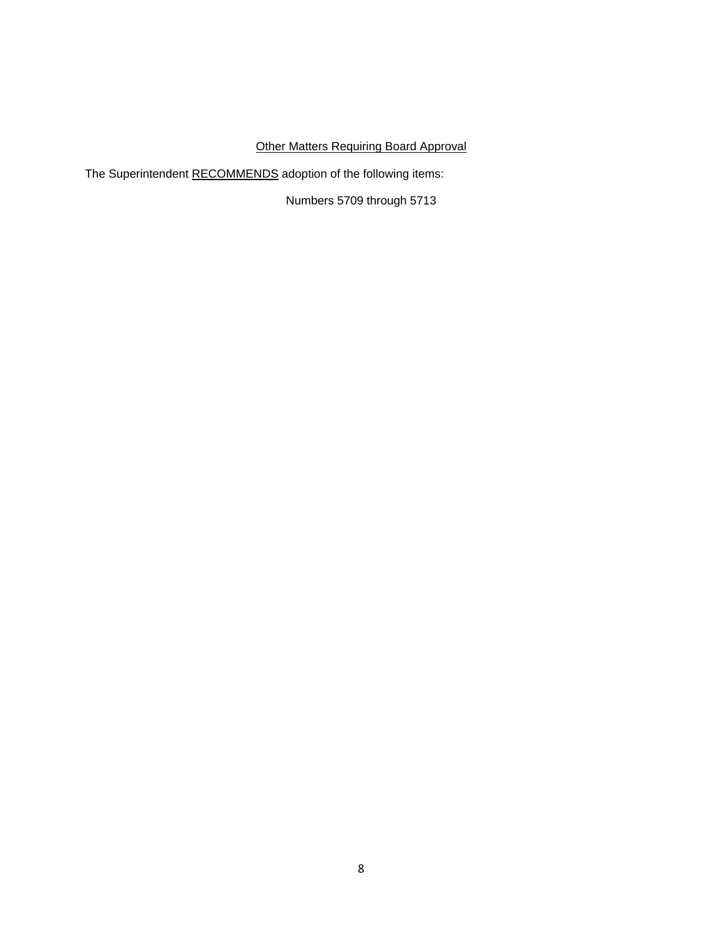# Other Matters Requiring Board Approval

The Superintendent RECOMMENDS adoption of the following items:

Numbers 5709 through 5713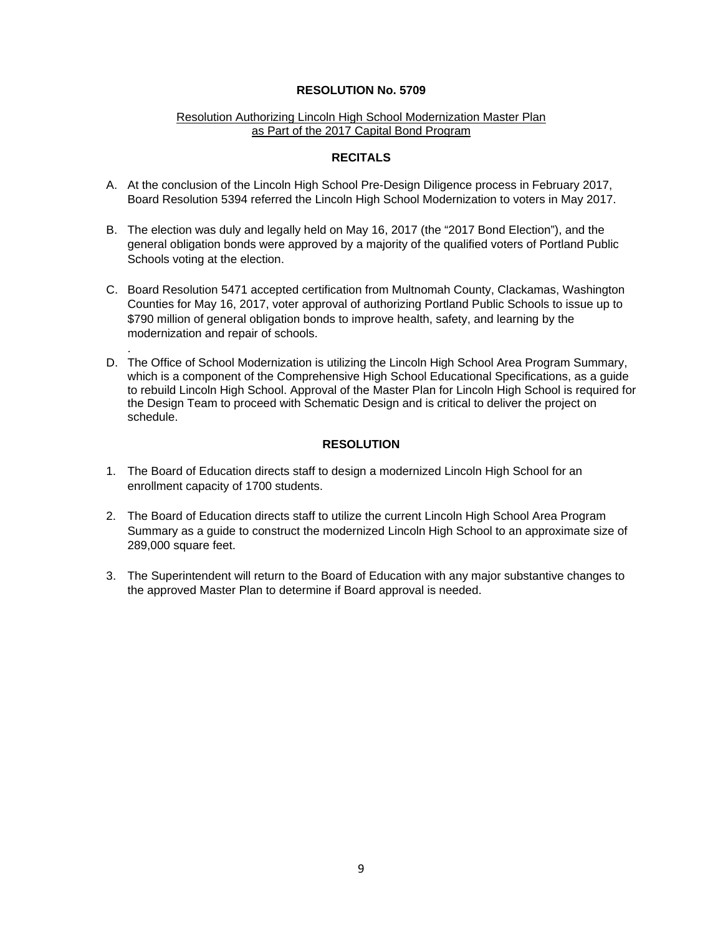### Resolution Authorizing Lincoln High School Modernization Master Plan as Part of the 2017 Capital Bond Program

## **RECITALS**

- A. At the conclusion of the Lincoln High School Pre-Design Diligence process in February 2017, Board Resolution 5394 referred the Lincoln High School Modernization to voters in May 2017.
- B. The election was duly and legally held on May 16, 2017 (the "2017 Bond Election"), and the general obligation bonds were approved by a majority of the qualified voters of Portland Public Schools voting at the election.
- C. Board Resolution 5471 accepted certification from Multnomah County, Clackamas, Washington Counties for May 16, 2017, voter approval of authorizing Portland Public Schools to issue up to \$790 million of general obligation bonds to improve health, safety, and learning by the modernization and repair of schools.
- D. The Office of School Modernization is utilizing the Lincoln High School Area Program Summary, which is a component of the Comprehensive High School Educational Specifications, as a guide to rebuild Lincoln High School. Approval of the Master Plan for Lincoln High School is required for the Design Team to proceed with Schematic Design and is critical to deliver the project on schedule.

## **RESOLUTION**

1. The Board of Education directs staff to design a modernized Lincoln High School for an enrollment capacity of 1700 students.

.

- 2. The Board of Education directs staff to utilize the current Lincoln High School Area Program Summary as a guide to construct the modernized Lincoln High School to an approximate size of 289,000 square feet.
- 3. The Superintendent will return to the Board of Education with any major substantive changes to the approved Master Plan to determine if Board approval is needed.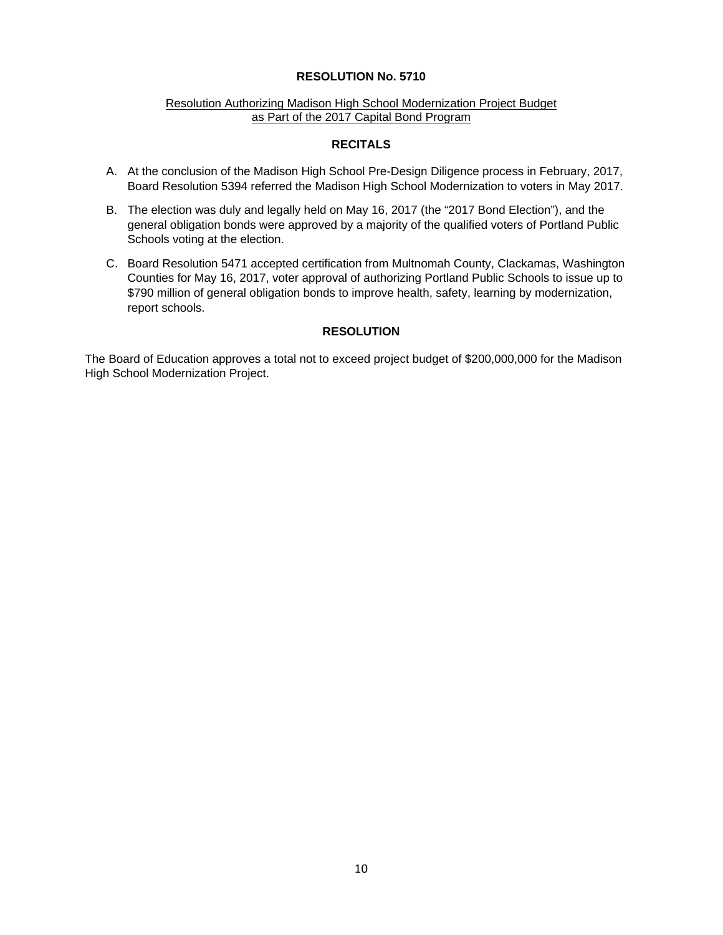#### Resolution Authorizing Madison High School Modernization Project Budget as Part of the 2017 Capital Bond Program

## **RECITALS**

- A. At the conclusion of the Madison High School Pre-Design Diligence process in February, 2017, Board Resolution 5394 referred the Madison High School Modernization to voters in May 2017.
- B. The election was duly and legally held on May 16, 2017 (the "2017 Bond Election"), and the general obligation bonds were approved by a majority of the qualified voters of Portland Public Schools voting at the election.
- C. Board Resolution 5471 accepted certification from Multnomah County, Clackamas, Washington Counties for May 16, 2017, voter approval of authorizing Portland Public Schools to issue up to \$790 million of general obligation bonds to improve health, safety, learning by modernization, report schools.

## **RESOLUTION**

The Board of Education approves a total not to exceed project budget of \$200,000,000 for the Madison High School Modernization Project.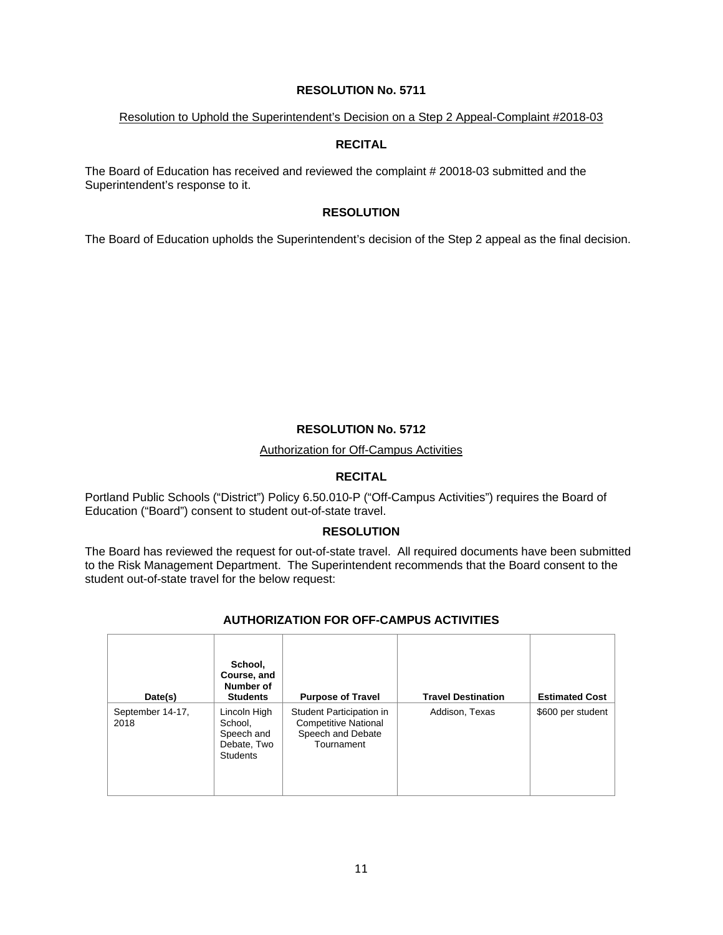#### Resolution to Uphold the Superintendent's Decision on a Step 2 Appeal-Complaint #2018-03

## **RECITAL**

The Board of Education has received and reviewed the complaint # 20018-03 submitted and the Superintendent's response to it.

## **RESOLUTION**

The Board of Education upholds the Superintendent's decision of the Step 2 appeal as the final decision.

## **RESOLUTION No. 5712**

Authorization for Off-Campus Activities

## **RECITAL**

Portland Public Schools ("District") Policy 6.50.010-P ("Off-Campus Activities") requires the Board of Education ("Board") consent to student out-of-state travel.

#### **RESOLUTION**

The Board has reviewed the request for out-of-state travel. All required documents have been submitted to the Risk Management Department. The Superintendent recommends that the Board consent to the student out-of-state travel for the below request:

| Date(s)                  | School,<br>Course, and<br>Number of<br><b>Students</b>                  | <b>Purpose of Travel</b>                                                                   | <b>Travel Destination</b> | <b>Estimated Cost</b> |
|--------------------------|-------------------------------------------------------------------------|--------------------------------------------------------------------------------------------|---------------------------|-----------------------|
| September 14-17,<br>2018 | Lincoln High<br>School,<br>Speech and<br>Debate, Two<br><b>Students</b> | Student Participation in<br><b>Competitive National</b><br>Speech and Debate<br>Tournament | Addison, Texas            | \$600 per student     |

## **AUTHORIZATION FOR OFF-CAMPUS ACTIVITIES**